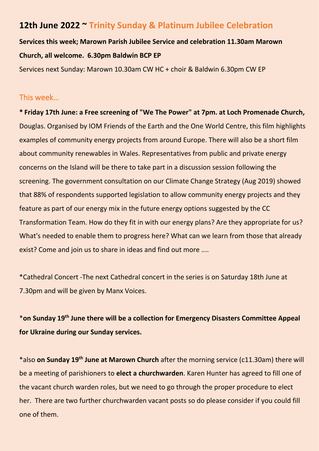# **12th June 2022 ~ Trinity Sunday & Platinum Jubilee Celebration**

**Services this week; Marown Parish Jubilee Service and celebration 11.30am Marown Church, all welcome. 6.30pm Baldwin BCP EP**

Services next Sunday: Marown 10.30am CW HC + choir & Baldwin 6.30pm CW EP

### This week…

**\* Friday 17th June: a Free screening of "We The Power" at 7pm. at Loch Promenade Church,** Douglas. Organised by IOM Friends of the Earth and the One World Centre, this film highlights examples of community energy projects from around Europe. There will also be a short film about community renewables in Wales. Representatives from public and private energy concerns on the Island will be there to take part in a discussion session following the screening. The government consultation on our Climate Change Strategy (Aug 2019) showed that 88% of respondents supported legislation to allow community energy projects and they feature as part of our energy mix in the future energy options suggested by the CC Transformation Team. How do they fit in with our energy plans? Are they appropriate for us? What's needed to enable them to progress here? What can we learn from those that already exist? Come and join us to share in ideas and find out more ....

\*Cathedral Concert -The next Cathedral concert in the series is on Saturday 18th June at 7.30pm and will be given by Manx Voices.

# \***on Sunday 19th June there will be a collection for Emergency Disasters Committee Appeal for Ukraine during our Sunday services.**

\*also **on Sunday 19th June at Marown Church** after the morning service (c11.30am) there will be a meeting of parishioners to **elect a churchwarden**. Karen Hunter has agreed to fill one of the vacant church warden roles, but we need to go through the proper procedure to elect her. There are two further churchwarden vacant posts so do please consider if you could fill one of them.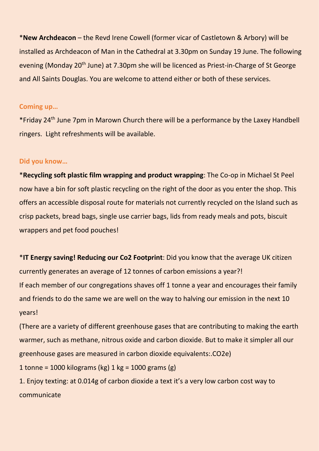\***New Archdeacon** – the Revd Irene Cowell (former vicar of Castletown & Arbory) will be installed as Archdeacon of Man in the Cathedral at 3.30pm on Sunday 19 June. The following evening (Monday 20<sup>th</sup> June) at 7.30pm she will be licenced as Priest-in-Charge of St George and All Saints Douglas. You are welcome to attend either or both of these services.

#### **Coming up…**

\*Friday 24th June 7pm in Marown Church there will be a performance by the Laxey Handbell ringers. Light refreshments will be available.

#### **Did you know…**

\***Recycling soft plastic film wrapping and product wrapping**: The Co-op in Michael St Peel now have a bin for soft plastic recycling on the right of the door as you enter the shop. This offers an accessible disposal route for materials not currently recycled on the Island such as crisp packets, bread bags, single use carrier bags, lids from ready meals and pots, biscuit wrappers and pet food pouches!

\***IT Energy saving! Reducing our Co2 Footprint**: Did you know that the average UK citizen currently generates an average of 12 tonnes of carbon emissions a year?! If each member of our congregations shaves off 1 tonne a year and encourages their family and friends to do the same we are well on the way to halving our emission in the next 10 years!

(There are a variety of different greenhouse gases that are contributing to making the earth warmer, such as methane, nitrous oxide and carbon dioxide. But to make it simpler all our greenhouse gases are measured in carbon dioxide equivalents:.CO2e)

1 tonne = 1000 kilograms (kg) 1 kg = 1000 grams (g)

1. Enjoy texting: at 0.014g of carbon dioxide a text it's a very low carbon cost way to communicate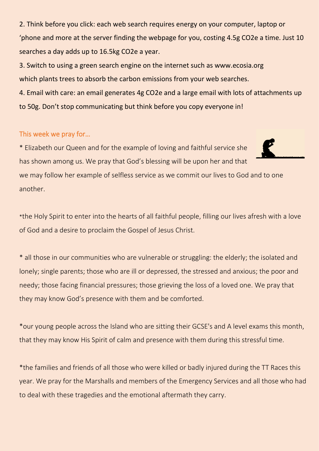2. Think before you click: each web search requires energy on your computer, laptop or 'phone and more at the server finding the webpage for you, costing 4.5g CO2e a time. Just 10 searches a day adds up to 16.5kg CO2e a year.

3. Switch to using a green search engine on the internet such as www.ecosia.org which plants trees to absorb the carbon emissions from your web searches.

4. Email with care: an email generates 4g CO2e and a large email with lots of attachments up to 50g. Don't stop communicating but think before you copy everyone in!

## This week we pray for…

\* Elizabeth our Queen and for the example of loving and faithful service she has shown among us. We pray that God's blessing will be upon her and that we may follow her example of selfless service as we commit our lives to God and to one another.

\*the Holy Spirit to enter into the hearts of all faithful people, filling our lives afresh with a love of God and a desire to proclaim the Gospel of Jesus Christ.

\* all those in our communities who are vulnerable or struggling: the elderly; the isolated and lonely; single parents; those who are ill or depressed, the stressed and anxious; the poor and needy; those facing financial pressures; those grieving the loss of a loved one. We pray that they may know God's presence with them and be comforted.

\*our young people across the Island who are sitting their GCSE's and A level exams this month, that they may know His Spirit of calm and presence with them during this stressful time.

\*the families and friends of all those who were killed or badly injured during the TT Races this year. We pray for the Marshalls and members of the Emergency Services and all those who had to deal with these tragedies and the emotional aftermath they carry.